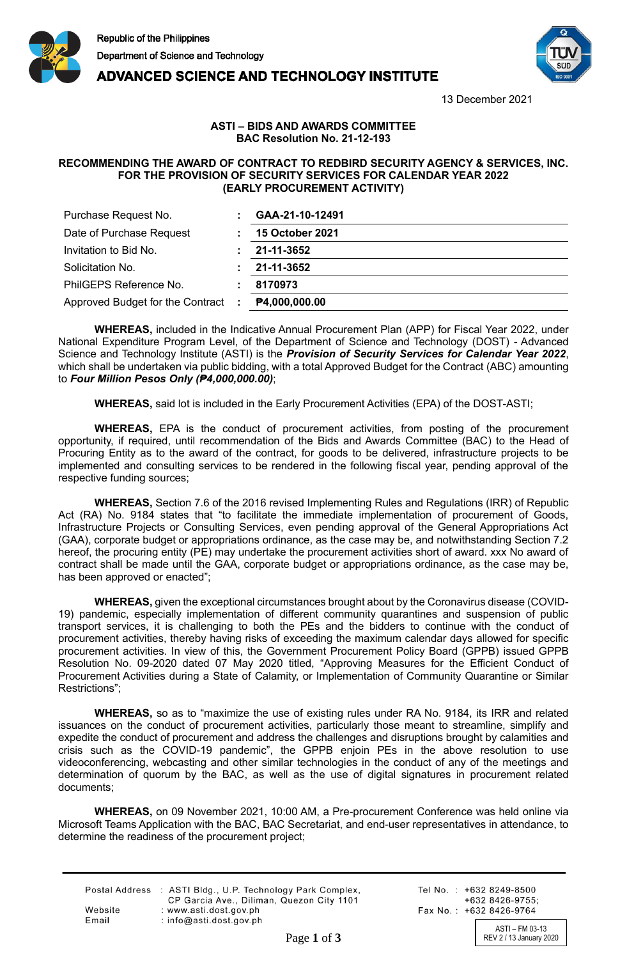

**ADVANCED SCIENCE AND TECHNOLOGY INSTITUTE** 



13 December 2021

## **ASTI – BIDS AND AWARDS COMMITTEE BAC Resolution No. 21-12-193**

## **RECOMMENDING THE AWARD OF CONTRACT TO REDBIRD SECURITY AGENCY & SERVICES, INC. FOR THE PROVISION OF SECURITY SERVICES FOR CALENDAR YEAR 2022 (EARLY PROCUREMENT ACTIVITY)**

| Purchase Request No.             |    | GAA-21-10-12491        |
|----------------------------------|----|------------------------|
| Date of Purchase Request         |    | <b>15 October 2021</b> |
| Invitation to Bid No.            |    | 21-11-3652             |
| Solicitation No.                 |    | 21-11-3652             |
| PhilGEPS Reference No.           |    | 8170973                |
| Approved Budget for the Contract | ÷. | P4,000,000.00          |

**WHEREAS,** included in the Indicative Annual Procurement Plan (APP) for Fiscal Year 2022, under National Expenditure Program Level, of the Department of Science and Technology (DOST) - Advanced Science and Technology Institute (ASTI) is the *Provision of Security Services for Calendar Year 2022*, which shall be undertaken via public bidding, with a total Approved Budget for the Contract (ABC) amounting to *Four Million Pesos Only (₱4,000,000.00)*;

**WHEREAS,** said lot is included in the Early Procurement Activities (EPA) of the DOST-ASTI;

**WHEREAS,** EPA is the conduct of procurement activities, from posting of the procurement opportunity, if required, until recommendation of the Bids and Awards Committee (BAC) to the Head of Procuring Entity as to the award of the contract, for goods to be delivered, infrastructure projects to be implemented and consulting services to be rendered in the following fiscal year, pending approval of the respective funding sources;

**WHEREAS,** Section 7.6 of the 2016 revised Implementing Rules and Regulations (IRR) of Republic Act (RA) No. 9184 states that "to facilitate the immediate implementation of procurement of Goods, Infrastructure Projects or Consulting Services, even pending approval of the General Appropriations Act (GAA), corporate budget or appropriations ordinance, as the case may be, and notwithstanding Section 7.2 hereof, the procuring entity (PE) may undertake the procurement activities short of award. xxx No award of contract shall be made until the GAA, corporate budget or appropriations ordinance, as the case may be, has been approved or enacted";

**WHEREAS,** given the exceptional circumstances brought about by the Coronavirus disease (COVID-19) pandemic, especially implementation of different community quarantines and suspension of public transport services, it is challenging to both the PEs and the bidders to continue with the conduct of procurement activities, thereby having risks of exceeding the maximum calendar days allowed for specific procurement activities. In view of this, the Government Procurement Policy Board (GPPB) issued GPPB Resolution No. 09-2020 dated 07 May 2020 titled, "Approving Measures for the Efficient Conduct of Procurement Activities during a State of Calamity, or Implementation of Community Quarantine or Similar Restrictions";

**WHEREAS,** so as to "maximize the use of existing rules under RA No. 9184, its IRR and related issuances on the conduct of procurement activities, particularly those meant to streamline, simplify and expedite the conduct of procurement and address the challenges and disruptions brought by calamities and crisis such as the COVID-19 pandemic", the GPPB enjoin PEs in the above resolution to use videoconferencing, webcasting and other similar technologies in the conduct of any of the meetings and determination of quorum by the BAC, as well as the use of digital signatures in procurement related documents;

**WHEREAS,** on 09 November 2021, 10:00 AM, a Pre-procurement Conference was held online via Microsoft Teams Application with the BAC, BAC Secretariat, and end-user representatives in attendance, to determine the readiness of the procurement project;

|         | Postal Address : ASTI Bldg., U.P. Technology Park Complex, |
|---------|------------------------------------------------------------|
|         | CP Garcia Ave., Diliman, Quezon City 1101                  |
| Website | : www.asti.dost.gov.ph                                     |
| Email   | : $info@ast.dost.aov.sh$                                   |

Tel No.: +632 8249-8500  $+6328426-9755$ Fax No.: +632 8426-9764

ASTI – FM 03-13 Page 1 of 3 REV 2 / 13 January 2020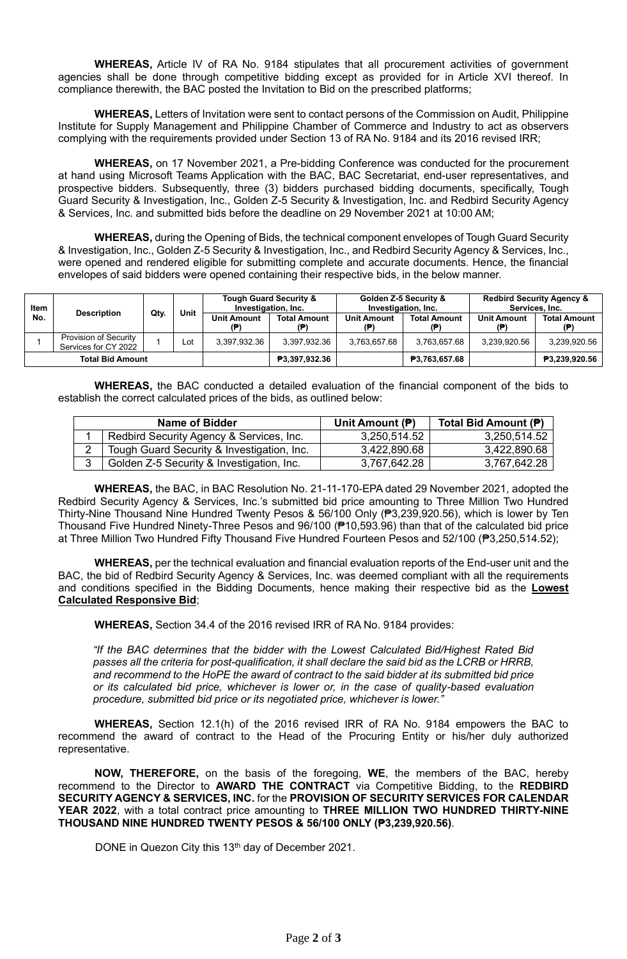**WHEREAS,** Article IV of RA No. 9184 stipulates that all procurement activities of government agencies shall be done through competitive bidding except as provided for in Article XVI thereof. In compliance therewith, the BAC posted the Invitation to Bid on the prescribed platforms;

**WHEREAS,** Letters of Invitation were sent to contact persons of the Commission on Audit, Philippine Institute for Supply Management and Philippine Chamber of Commerce and Industry to act as observers complying with the requirements provided under Section 13 of RA No. 9184 and its 2016 revised IRR;

**WHEREAS,** on 17 November 2021, a Pre-bidding Conference was conducted for the procurement at hand using Microsoft Teams Application with the BAC, BAC Secretariat, end-user representatives, and prospective bidders. Subsequently, three (3) bidders purchased bidding documents, specifically, Tough Guard Security & Investigation, Inc., Golden Z-5 Security & Investigation, Inc. and Redbird Security Agency & Services, Inc. and submitted bids before the deadline on 29 November 2021 at 10:00 AM;

**WHEREAS,** during the Opening of Bids, the technical component envelopes of Tough Guard Security & Investigation, Inc., Golden Z-5 Security & Investigation, Inc., and Redbird Security Agency & Services, Inc., were opened and rendered eligible for submitting complete and accurate documents. Hence, the financial envelopes of said bidders were opened containing their respective bids, in the below manner.

| Item | <b>Description</b>                            |      | Unit | <b>Tough Guard Security &amp;</b><br>Investigation, Inc. |                            | Golden Z-5 Security &<br>Investigation, Inc. |                     | <b>Redbird Security Agency &amp;</b><br>Services, Inc. |                           |
|------|-----------------------------------------------|------|------|----------------------------------------------------------|----------------------------|----------------------------------------------|---------------------|--------------------------------------------------------|---------------------------|
| No.  |                                               | Qty. |      | <b>Unit Amount</b><br>(P)                                | <b>Total Amount</b><br>(P) | <b>Unit Amount</b><br>/∌                     | <b>Total Amount</b> | <b>Unit Amount</b><br>(₱)                              | <b>Total Amount</b><br>/Đ |
|      | Provision of Security<br>Services for CY 2022 |      | Lot  | 3,397,932.36                                             | 3,397,932.36               | 3.763.657.68                                 | 3.763.657.68        | 3.239.920.56                                           | 3.239.920.56              |
|      | <b>Total Bid Amount</b>                       |      |      |                                                          | ₱3,397,932.36              |                                              | ₱3,763,657.68       |                                                        | <b>P3.239.920.56</b>      |

**WHEREAS,** the BAC conducted a detailed evaluation of the financial component of the bids to establish the correct calculated prices of the bids, as outlined below:

| <b>Name of Bidder</b>                      | Unit Amount $(P)$ | Total Bid Amount (P) |  |  |
|--------------------------------------------|-------------------|----------------------|--|--|
| Redbird Security Agency & Services, Inc.   | 3,250,514.52      | 3,250,514.52         |  |  |
| Tough Guard Security & Investigation, Inc. | 3.422,890.68      | 3.422,890.68         |  |  |
| Golden Z-5 Security & Investigation, Inc.  | 3,767,642.28      | 3,767,642.28         |  |  |

**WHEREAS,** the BAC, in BAC Resolution No. 21-11-170-EPA dated 29 November 2021, adopted the Redbird Security Agency & Services, Inc.'s submitted bid price amounting to Three Million Two Hundred Thirty-Nine Thousand Nine Hundred Twenty Pesos & 56/100 Only (₱3,239,920.56), which is lower by Ten Thousand Five Hundred Ninety-Three Pesos and 96/100 (₱10,593.96) than that of the calculated bid price at Three Million Two Hundred Fifty Thousand Five Hundred Fourteen Pesos and 52/100 (₱3,250,514.52);

**WHEREAS,** per the technical evaluation and financial evaluation reports of the End-user unit and the BAC, the bid of Redbird Security Agency & Services, Inc. was deemed compliant with all the requirements and conditions specified in the Bidding Documents, hence making their respective bid as the **Lowest Calculated Responsive Bid**;

**WHEREAS,** Section 34.4 of the 2016 revised IRR of RA No. 9184 provides:

*"If the BAC determines that the bidder with the Lowest Calculated Bid/Highest Rated Bid passes all the criteria for post-qualification, it shall declare the said bid as the LCRB or HRRB, and recommend to the HoPE the award of contract to the said bidder at its submitted bid price or its calculated bid price, whichever is lower or, in the case of quality-based evaluation procedure, submitted bid price or its negotiated price, whichever is lower."*

**WHEREAS,** Section 12.1(h) of the 2016 revised IRR of RA No. 9184 empowers the BAC to recommend the award of contract to the Head of the Procuring Entity or his/her duly authorized representative.

**NOW, THEREFORE,** on the basis of the foregoing, **WE**, the members of the BAC, hereby recommend to the Director to **AWARD THE CONTRACT** via Competitive Bidding, to the **REDBIRD SECURITY AGENCY & SERVICES, INC.** for the **PROVISION OF SECURITY SERVICES FOR CALENDAR YEAR 2022**, with a total contract price amounting to **THREE MILLION TWO HUNDRED THIRTY-NINE THOUSAND NINE HUNDRED TWENTY PESOS & 56/100 ONLY (₱3,239,920.56)**.

DONE in Quezon City this 13<sup>th</sup> day of December 2021.